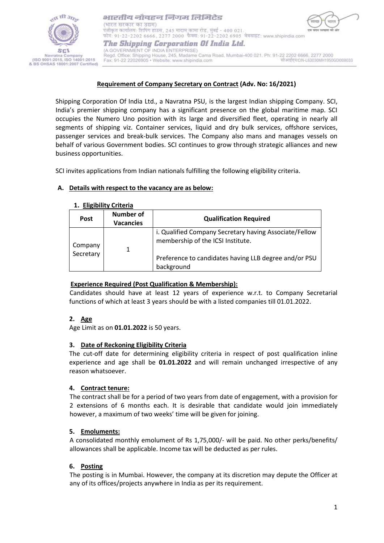

भारतीय नौवहन निगम लिमिटेड (भारत सरकार का उद्यम) पंजीकृत कार्यालय: शिपिंग हाउस, 245 मादाम कामा रोड, मुंबई - 400 021. फोन: 91-22-2202 6666, 2277 2000 फैक्स: 91-22-2202 6905 वेबसाइट: www.shipindia.com The Shipping Corporation Of India Ltd. (A GOVERNMENT OF INDIA ENTERPRISE)

Regd. Office: Shipping House, 245, Madame Cama Road, Mumbai-400 021. Ph: 91-22 2202 6666, 2277 2000 सीआईएन/CIN-L63030MH1950G0I008033 Fax: 91-22 22026905 · Website: www.shipindia.com

## **Requirement of Company Secretary on Contract (Adv. No: 16/2021)**

Shipping Corporation Of India Ltd., a Navratna PSU, is the largest Indian shipping Company. SCI, India's premier shipping company has a significant presence on the global maritime map. SCI occupies the Numero Uno position with its large and diversified fleet, operating in nearly all segments of shipping viz. Container services, liquid and dry bulk services, offshore services, passenger services and break-bulk services. The Company also mans and manages vessels on behalf of various Government bodies. SCI continues to grow through strategic alliances and new business opportunities.

SCI invites applications from Indian nationals fulfilling the following eligibility criteria.

## **A. Details with respect to the vacancy are as below:**

| Number of<br><b>Vacancies</b> | <b>Qualification Required</b>                                                                                                                                      |
|-------------------------------|--------------------------------------------------------------------------------------------------------------------------------------------------------------------|
|                               | i. Qualified Company Secretary having Associate/Fellow<br>membership of the ICSI Institute.<br>Preference to candidates having LLB degree and/or PSU<br>background |
|                               |                                                                                                                                                                    |

## **1. Eligibility Criteria**

# **Experience Required (Post Qualification & Membership):**

Candidates should have at least 12 years of experience w.r.t. to Company Secretarial functions of which at least 3 years should be with a listed companies till 01.01.2022.

## **2. Age**

Age Limit as on **01.01.2022** is 50 years.

## **3. Date of Reckoning Eligibility Criteria**

The cut-off date for determining eligibility criteria in respect of post qualification inline experience and age shall be **01.01.2022** and will remain unchanged irrespective of any reason whatsoever.

## **4. Contract tenure:**

The contract shall be for a period of two years from date of engagement, with a provision for 2 extensions of 6 months each. It is desirable that candidate would join immediately however, a maximum of two weeks' time will be given for joining.

# **5. Emoluments:**

A consolidated monthly emolument of Rs 1,75,000/- will be paid. No other perks/benefits/ allowances shall be applicable. Income tax will be deducted as per rules.

## **6. Posting**

The posting is in Mumbai. However, the company at its discretion may depute the Officer at any of its offices/projects anywhere in India as per its requirement.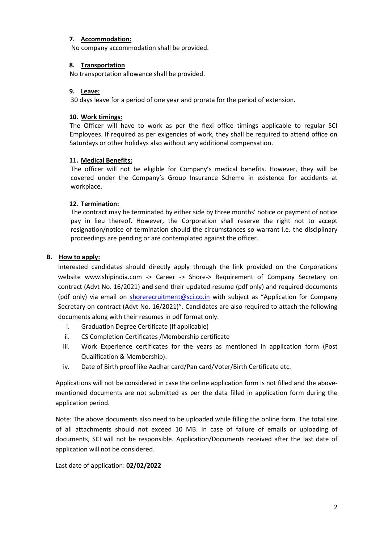## **7. Accommodation:**

No company accommodation shall be provided.

## **8. Transportation**

No transportation allowance shall be provided.

### **9. Leave:**

30 days leave for a period of one year and prorata for the period of extension.

### **10. Work timings:**

The Officer will have to work as per the flexi office timings applicable to regular SCI Employees. If required as per exigencies of work, they shall be required to attend office on Saturdays or other holidays also without any additional compensation.

## **11. Medical Benefits:**

The officer will not be eligible for Company's medical benefits. However, they will be covered under the Company's Group Insurance Scheme in existence for accidents at workplace.

### **12. Termination:**

The contract may be terminated by either side by three months' notice or payment of notice pay in lieu thereof. However, the Corporation shall reserve the right not to accept resignation/notice of termination should the circumstances so warrant i.e. the disciplinary proceedings are pending or are contemplated against the officer.

### **B. How to apply:**

Interested candidates should directly apply through the link provided on the Corporations website [www.shipindia.com](http://www.shipindia.com/) -> Career -> Shore-> Requirement of Company Secretary on contract (Advt No. 16/2021) **and** send their updated resume (pdf only) and required documents (pdf only) via email on [shorerecruitment@sci.co.in](mailto:shorerecruitment@sci.co.in) with subject as "Application for Company Secretary on contract (Advt No. 16/2021)". Candidates are also required to attach the following documents along with their resumes in pdf format only.

- i. Graduation Degree Certificate (If applicable)
- ii. CS Completion Certificates /Membership certificate
- iii. Work Experience certificates for the years as mentioned in application form (Post Qualification & Membership).
- iv. Date of Birth proof like Aadhar card/Pan card/Voter/Birth Certificate etc.

Applications will not be considered in case the online application form is not filled and the abovementioned documents are not submitted as per the data filled in application form during the application period.

Note: The above documents also need to be uploaded while filling the online form. The total size of all attachments should not exceed 10 MB. In case of failure of emails or uploading of documents, SCI will not be responsible. Application/Documents received after the last date of application will not be considered.

Last date of application: **02/02/2022**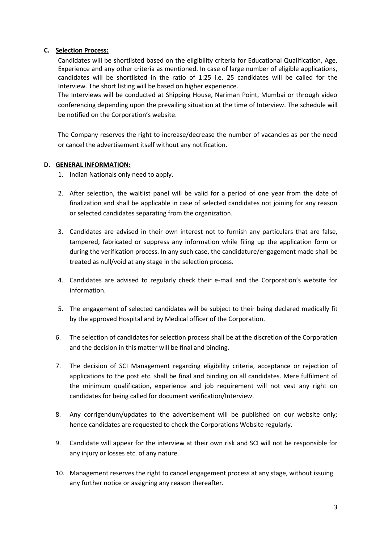# **C. Selection Process:**

Candidates will be shortlisted based on the eligibility criteria for Educational Qualification, Age, Experience and any other criteria as mentioned. In case of large number of eligible applications, candidates will be shortlisted in the ratio of 1:25 i.e. 25 candidates will be called for the Interview. The short listing will be based on higher experience.

The Interviews will be conducted at Shipping House, Nariman Point, Mumbai or through video conferencing depending upon the prevailing situation at the time of Interview. The schedule will be notified on the Corporation's website.

The Company reserves the right to increase/decrease the number of vacancies as per the need or cancel the advertisement itself without any notification.

# **D. GENERAL INFORMATION:**

- 1. Indian Nationals only need to apply.
- 2. After selection, the waitlist panel will be valid for a period of one year from the date of finalization and shall be applicable in case of selected candidates not joining for any reason or selected candidates separating from the organization.
- 3. Candidates are advised in their own interest not to furnish any particulars that are false, tampered, fabricated or suppress any information while filing up the application form or during the verification process. In any such case, the candidature/engagement made shall be treated as null/void at any stage in the selection process.
- 4. Candidates are advised to regularly check their e-mail and the Corporation's website for information.
- 5. The engagement of selected candidates will be subject to their being declared medically fit by the approved Hospital and by Medical officer of the Corporation.
- 6. The selection of candidates for selection process shall be at the discretion of the Corporation and the decision in this matter will be final and binding.
- 7. The decision of SCI Management regarding eligibility criteria, acceptance or rejection of applications to the post etc. shall be final and binding on all candidates. Mere fulfilment of the minimum qualification, experience and job requirement will not vest any right on candidates for being called for document verification/Interview.
- 8. Any corrigendum/updates to the advertisement will be published on our website only; hence candidates are requested to check the Corporations Website regularly.
- 9. Candidate will appear for the interview at their own risk and SCI will not be responsible for any injury or losses etc. of any nature.
- 10. Management reserves the right to cancel engagement process at any stage, without issuing any further notice or assigning any reason thereafter.